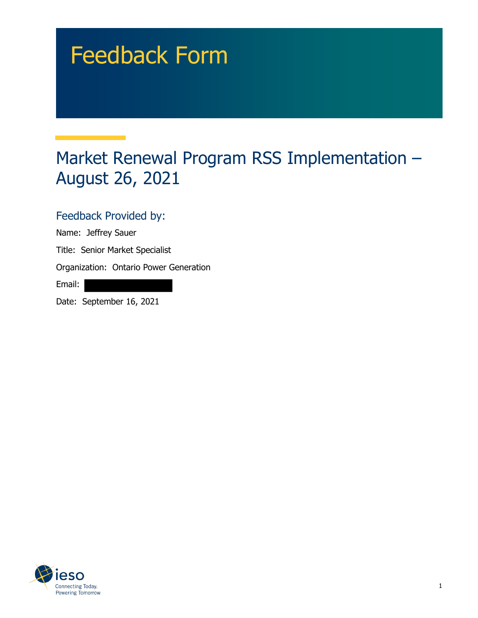## Feedback Form

## Market Renewal Program RSS Implementation – August 26, 2021

## Feedback Provided by:

Name: Jeffrey Sauer

Title: Senior Market Specialist

Organization: Ontario Power Generation

Email:

Date: September 16, 2021